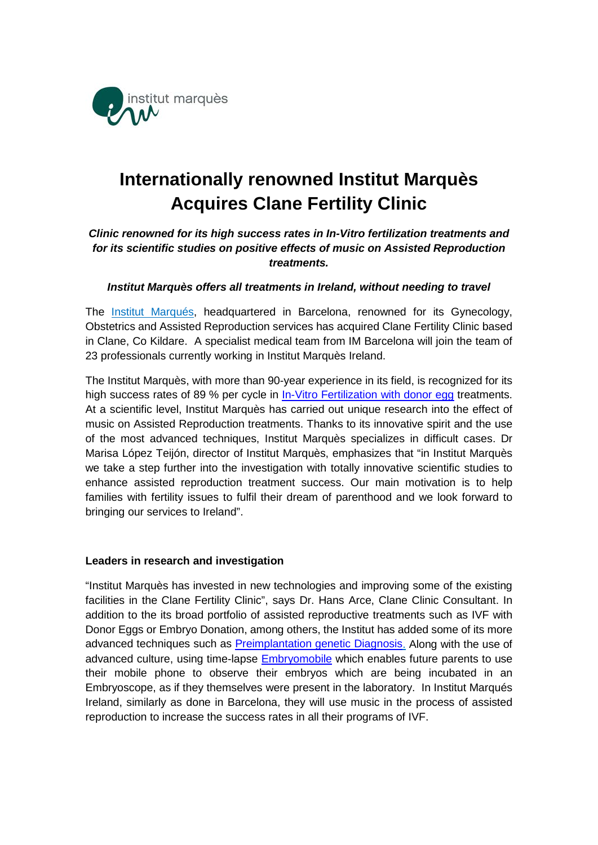

# **Internationally renowned Institut Marquès Acquires Clane Fertility Clinic**

# *Clinic renowned for its high success rates in In-Vitro fertilization treatments and for its scientific studies on positive effects of music on Assisted Reproduction treatments.*

## *Institut Marquès offers all treatments in Ireland, without needing to travel*

The [Institut Marqués,](http://www.institutmarques.ie/) headquartered in Barcelona, renowned for its Gynecology, Obstetrics and Assisted Reproduction services has acquired Clane Fertility Clinic based in Clane, Co Kildare. A specialist medical team from IM Barcelona will join the team of 23 professionals currently working in Institut Marquès Ireland.

The Institut Marquès, with more than 90-year experience in its field, is recognized for its high success rates of 89 % per cycle in [In-Vitro Fertilization](http://institutmarques.ie/assisted-reproduction/treatments/single-women-lesbian-couples/sperm-and-egg-donors/) with donor egg treatments. At a scientific level, Institut Marquès has carried out unique research into the effect of music on Assisted Reproduction treatments. Thanks to its innovative spirit and the use of the most advanced techniques, Institut Marquès specializes in difficult cases. Dr Marisa López Teijón, director of Institut Marquès, emphasizes that "in Institut Marquès we take a step further into the investigation with totally innovative scientific studies to enhance assisted reproduction treatment success. Our main motivation is to help families with fertility issues to fulfil their dream of parenthood and we look forward to bringing our services to Ireland".

### **Leaders in research and investigation**

"Institut Marquès has invested in new technologies and improving some of the existing facilities in the Clane Fertility Clinic", says Dr. Hans Arce, Clane Clinic Consultant. In addition to the its broad portfolio of assisted reproductive treatments such as IVF with Donor Eggs or Embryo Donation, among others, the Institut has added some of its more advanced techniques such as [Preimplantation genetic Diagnosis.](http://institutmarques.ie/assisted-reproduction/special-techniques/pgd-preimplantational-genetic-diagnosis/) Along with the use of advanced culture, using time-lapse [Embryomobile](http://institutmarques.ie/observe-your-embryos-from-home/) which enables future parents to use their mobile phone to observe their embryos which are being incubated in an Embryoscope, as if they themselves were present in the laboratory. In Institut Marqués Ireland, similarly as done in Barcelona, they will use music in the process of assisted reproduction to increase the success rates in all their programs of IVF.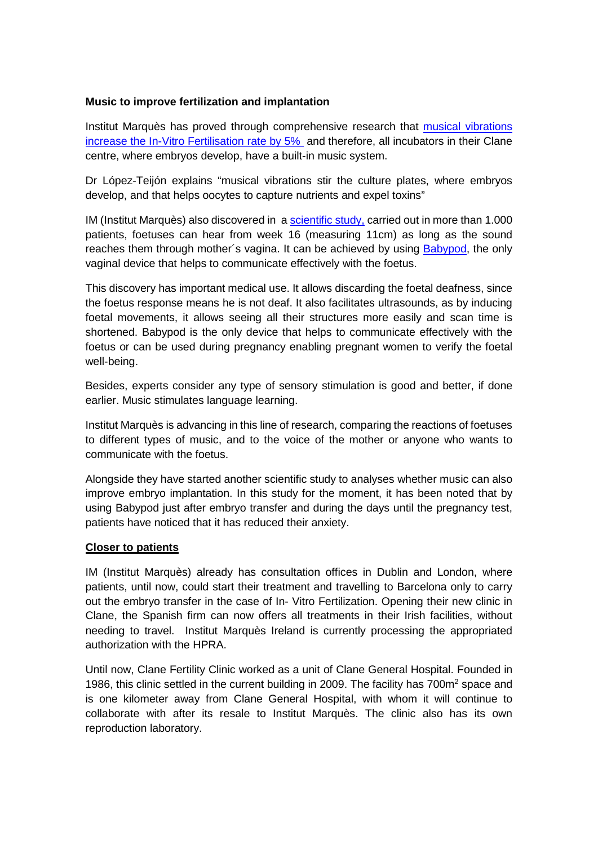## **Music to improve fertilization and implantation**

Institut Marquès has proved through comprehensive research that [musical vibrations](http://institutmarques.ie/assisted-reproduction/music-and-fertilisation/)  increase [the In-Vitro Fertilisation rate by](http://institutmarques.ie/assisted-reproduction/music-and-fertilisation/) 5% and therefore, all incubators in their Clane centre, where embryos develop, have a built-in music system.

Dr López-Teijón explains "musical vibrations stir the culture plates, where embryos develop, and that helps oocytes to capture nutrients and expel toxins"

IM (Institut Marquès) also discovered in a [scientific study,](http://institutmarques.ie/scientific-area/response-fetus-vaginal-music-2/) carried out in more than 1.000 patients, foetuses can hear from week 16 (measuring 11cm) as long as the sound reaches them through mother's vagina. It can be achieved by using [Babypod,](https://www.babypod.net/) the only vaginal device that helps to communicate effectively with the foetus.

This discovery has important medical use. It allows discarding the foetal deafness, since the foetus response means he is not deaf. It also facilitates ultrasounds, as by inducing foetal movements, it allows seeing all their structures more easily and scan time is shortened. Babypod is the only device that helps to communicate effectively with the foetus or can be used during pregnancy enabling pregnant women to verify the foetal well-being.

Besides, experts consider any type of sensory stimulation is good and better, if done earlier. Music stimulates language learning.

Institut Marquès is advancing in this line of research, comparing the reactions of foetuses to different types of music, and to the voice of the mother or anyone who wants to communicate with the foetus.

Alongside they have started another scientific study to analyses whether music can also improve embryo implantation. In this study for the moment, it has been noted that by using Babypod just after embryo transfer and during the days until the pregnancy test, patients have noticed that it has reduced their anxiety.

### **Closer to patients**

IM (Institut Marquès) already has consultation offices in Dublin and London, where patients, until now, could start their treatment and travelling to Barcelona only to carry out the embryo transfer in the case of In- Vitro Fertilization. Opening their new clinic in Clane, the Spanish firm can now offers all treatments in their Irish facilities, without needing to travel. Institut Marquès Ireland is currently processing the appropriated authorization with the HPRA.

Until now, Clane Fertility Clinic worked as a unit of Clane General Hospital. Founded in 1986, this clinic settled in the current building in 2009. The facility has  $700<sup>m²</sup>$  space and is one kilometer away from Clane General Hospital, with whom it will continue to collaborate with after its resale to Institut Marquès. The clinic also has its own reproduction laboratory.